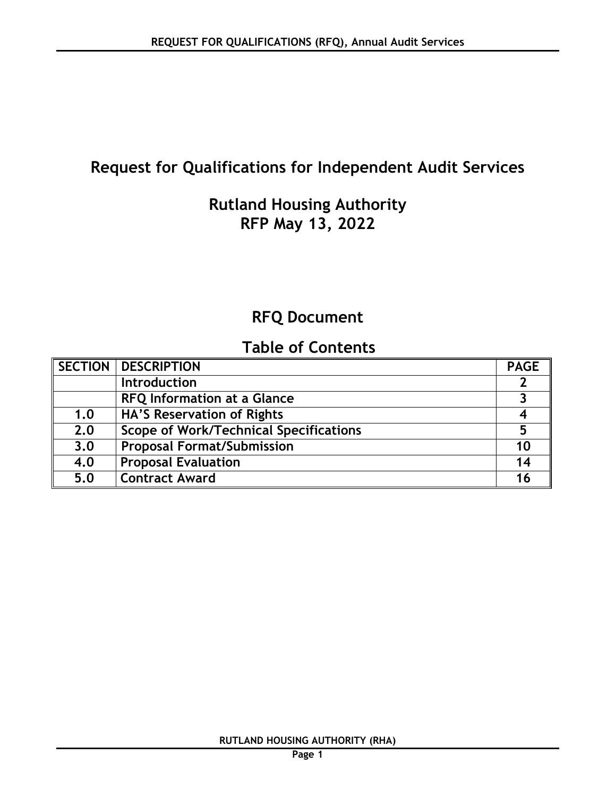# **Request for Qualifications for Independent Audit Services**

## **Rutland Housing Authority RFP May 13, 2022**

# **RFQ Document**

# **Table of Contents**

|     | <b>SECTION   DESCRIPTION</b>                  | <b>PAGE</b> |
|-----|-----------------------------------------------|-------------|
|     | <b>Introduction</b>                           |             |
|     | <b>RFQ Information at a Glance</b>            |             |
| 1.0 | HA'S Reservation of Rights                    |             |
| 2.0 | <b>Scope of Work/Technical Specifications</b> | 5           |
| 3.0 | <b>Proposal Format/Submission</b>             | 10          |
| 4.0 | <b>Proposal Evaluation</b>                    | 14          |
| 5.0 | <b>Contract Award</b>                         | 16          |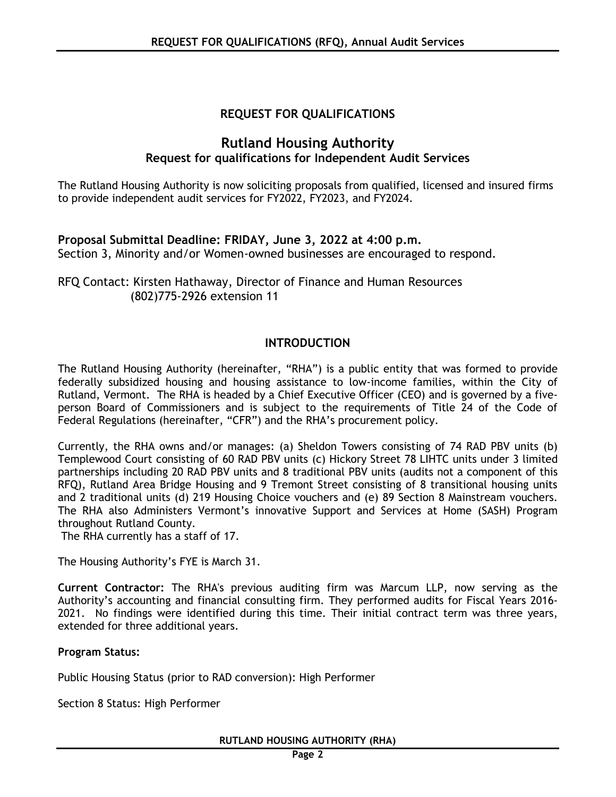## **REQUEST FOR QUALIFICATIONS**

## **Rutland Housing Authority Request for qualifications for Independent Audit Services**

The Rutland Housing Authority is now soliciting proposals from qualified, licensed and insured firms to provide independent audit services for FY2022, FY2023, and FY2024.

#### **Proposal Submittal Deadline: FRIDAY, June 3, 2022 at 4:00 p.m.** Section 3, Minority and/or Women-owned businesses are encouraged to respond.

RFQ Contact: Kirsten Hathaway, Director of Finance and Human Resources (802)775-2926 extension 11

## **INTRODUCTION**

The Rutland Housing Authority (hereinafter, "RHA") is a public entity that was formed to provide federally subsidized housing and housing assistance to low-income families, within the City of Rutland, Vermont. The RHA is headed by a Chief Executive Officer (CEO) and is governed by a fiveperson Board of Commissioners and is subject to the requirements of Title 24 of the Code of Federal Regulations (hereinafter, "CFR") and the RHA's procurement policy.

Currently, the RHA owns and/or manages: (a) Sheldon Towers consisting of 74 RAD PBV units (b) Templewood Court consisting of 60 RAD PBV units (c) Hickory Street 78 LIHTC units under 3 limited partnerships including 20 RAD PBV units and 8 traditional PBV units (audits not a component of this RFQ), Rutland Area Bridge Housing and 9 Tremont Street consisting of 8 transitional housing units and 2 traditional units (d) 219 Housing Choice vouchers and (e) 89 Section 8 Mainstream vouchers. The RHA also Administers Vermont's innovative Support and Services at Home (SASH) Program throughout Rutland County.

The RHA currently has a staff of 17.

The Housing Authority's FYE is March 31.

**Current Contractor:** The RHA's previous auditing firm was Marcum LLP, now serving as the Authority's accounting and financial consulting firm. They performed audits for Fiscal Years 2016- 2021. No findings were identified during this time. Their initial contract term was three years, extended for three additional years.

## **Program Status:**

Public Housing Status (prior to RAD conversion): High Performer

Section 8 Status: High Performer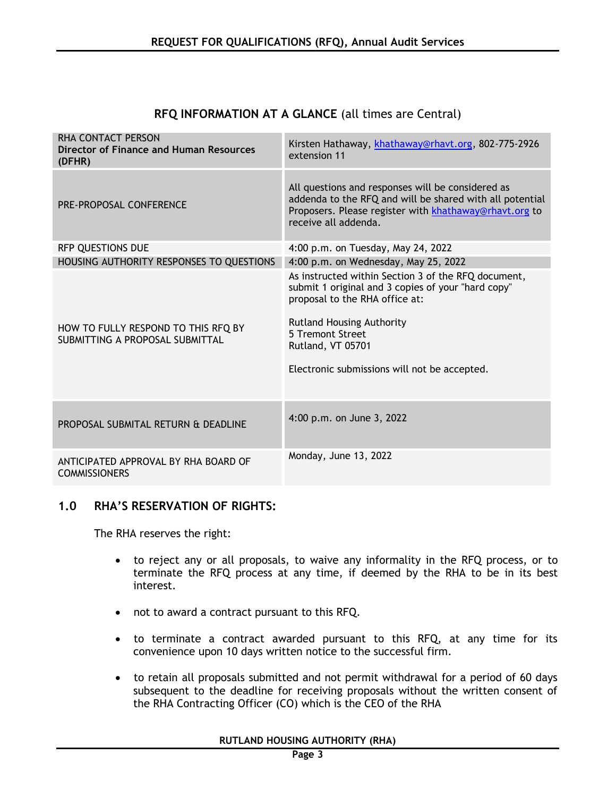| RHA CONTACT PERSON<br>Director of Finance and Human Resources<br>(DFHR) | Kirsten Hathaway, khathaway@rhavt.org, 802-775-2926<br>extension 11                                                                                                                                                                                                      |
|-------------------------------------------------------------------------|--------------------------------------------------------------------------------------------------------------------------------------------------------------------------------------------------------------------------------------------------------------------------|
| PRE-PROPOSAL CONFERENCE                                                 | All questions and responses will be considered as<br>addenda to the RFQ and will be shared with all potential<br>Proposers. Please register with khathaway@rhavt.org to<br>receive all addenda.                                                                          |
| <b>RFP QUESTIONS DUE</b>                                                | 4:00 p.m. on Tuesday, May 24, 2022                                                                                                                                                                                                                                       |
| HOUSING AUTHORITY RESPONSES TO QUESTIONS                                | 4:00 p.m. on Wednesday, May 25, 2022                                                                                                                                                                                                                                     |
| HOW TO FULLY RESPOND TO THIS RFQ BY<br>SUBMITTING A PROPOSAL SUBMITTAL  | As instructed within Section 3 of the RFQ document,<br>submit 1 original and 3 copies of your "hard copy"<br>proposal to the RHA office at:<br><b>Rutland Housing Authority</b><br>5 Tremont Street<br>Rutland, VT 05701<br>Electronic submissions will not be accepted. |
| PROPOSAL SUBMITAL RETURN & DEADLINE                                     | 4:00 p.m. on June 3, 2022                                                                                                                                                                                                                                                |
| ANTICIPATED APPROVAL BY RHA BOARD OF<br><b>COMMISSIONERS</b>            | Monday, June 13, 2022                                                                                                                                                                                                                                                    |

## **RFQ INFORMATION AT A GLANCE** (all times are Central)

## **1.0 RHA'S RESERVATION OF RIGHTS:**

The RHA reserves the right:

- to reject any or all proposals, to waive any informality in the RFQ process, or to terminate the RFQ process at any time, if deemed by the RHA to be in its best interest.
- not to award a contract pursuant to this RFQ.
- to terminate a contract awarded pursuant to this RFQ, at any time for its convenience upon 10 days written notice to the successful firm.
- to retain all proposals submitted and not permit withdrawal for a period of 60 days subsequent to the deadline for receiving proposals without the written consent of the RHA Contracting Officer (CO) which is the CEO of the RHA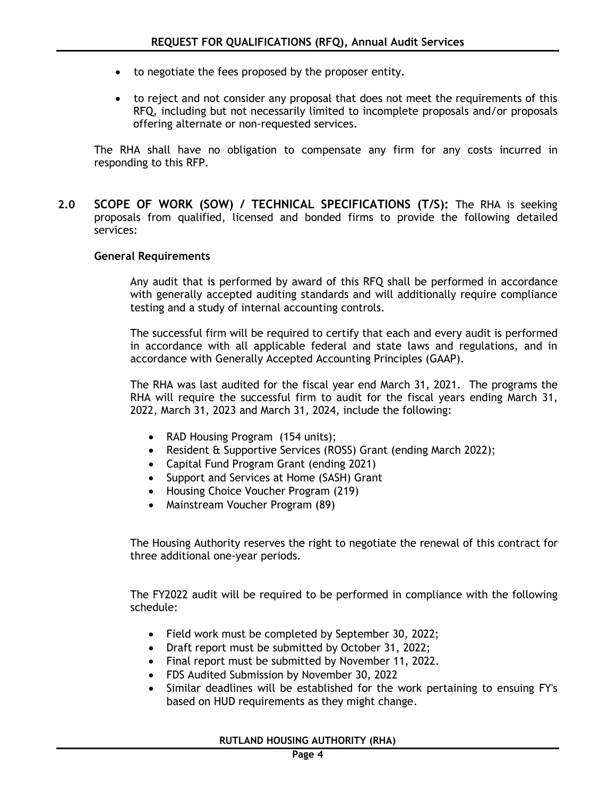- to negotiate the fees proposed by the proposer entity.
- to reject and not consider any proposal that does not meet the requirements of this RFQ, including but not necessarily limited to incomplete proposals and/or proposals offering alternate or non-requested services.

The RHA shall have no obligation to compensate any firm for any costs incurred in responding to this RFP.

**2.0 SCOPE OF WORK (SOW) / TECHNICAL SPECIFICATIONS (T/S):** The RHA is seeking proposals from qualified, licensed and bonded firms to provide the following detailed services:

#### **General Requirements**

Any audit that is performed by award of this RFQ shall be performed in accordance with generally accepted auditing standards and will additionally require compliance testing and a study of internal accounting controls.

The successful firm will be required to certify that each and every audit is performed in accordance with all applicable federal and state laws and regulations, and in accordance with Generally Accepted Accounting Principles (GAAP).

The RHA was last audited for the fiscal year end March 31, 2021. The programs the RHA will require the successful firm to audit for the fiscal years ending March 31, 2022, March 31, 2023 and March 31, 2024, include the following:

- RAD Housing Program (154 units);
- Resident & Supportive Services (ROSS) Grant (ending March 2022);
- Capital Fund Program Grant (ending 2021)
- Support and Services at Home (SASH) Grant
- Housing Choice Voucher Program (219)
- Mainstream Voucher Program (89)

The Housing Authority reserves the right to negotiate the renewal of this contract for three additional one-year periods.

The FY2022 audit will be required to be performed in compliance with the following schedule:

- Field work must be completed by September 30, 2022;
- Draft report must be submitted by October 31, 2022;
- Final report must be submitted by November 11, 2022.
- FDS Audited Submission by November 30, 2022
- Similar deadlines will be established for the work pertaining to ensuing FY's based on HUD requirements as they might change.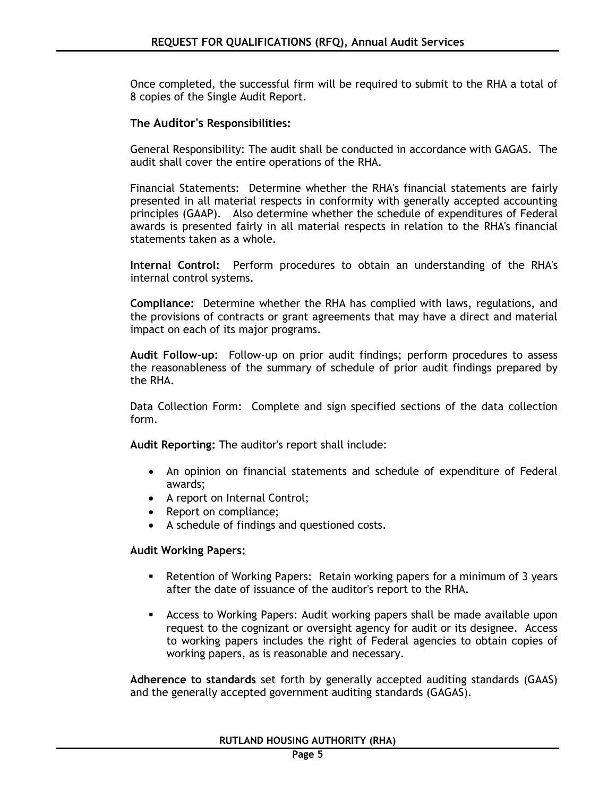Once completed, the successful firm will be required to submit to the RHA a total of 8 copies of the Single Audit Report.

#### **The Auditor's Responsibilities:**

General Responsibility: The audit shall be conducted in accordance with GAGAS. The audit shall cover the entire operations of the RHA.

Financial Statements: Determine whether the RHA's financial statements are fairly presented in all material respects in conformity with generally accepted accounting principles (GAAP). Also determine whether the schedule of expenditures of Federal awards is presented fairly in all material respects in relation to the RHA's financial statements taken as a whole.

**Internal Control:** Perform procedures to obtain an understanding of the RHA's internal control systems.

**Compliance:** Determine whether the RHA has complied with laws, regulations, and the provisions of contracts or grant agreements that may have a direct and material impact on each of its major programs.

**Audit Follow-up:** Follow-up on prior audit findings; perform procedures to assess the reasonableness of the summary of schedule of prior audit findings prepared by the RHA.

Data Collection Form: Complete and sign specified sections of the data collection form.

**Audit Reporting:** The auditor's report shall include:

- An opinion on financial statements and schedule of expenditure of Federal awards;
- A report on Internal Control;
- Report on compliance;
- A schedule of findings and questioned costs.

#### **Audit Working Papers:**

- Retention of Working Papers: Retain working papers for a minimum of 3 years after the date of issuance of the auditor's report to the RHA.
- Access to Working Papers: Audit working papers shall be made available upon request to the cognizant or oversight agency for audit or its designee. Access to working papers includes the right of Federal agencies to obtain copies of working papers, as is reasonable and necessary.

**Adherence to standards** set forth by generally accepted auditing standards (GAAS) and the generally accepted government auditing standards (GAGAS).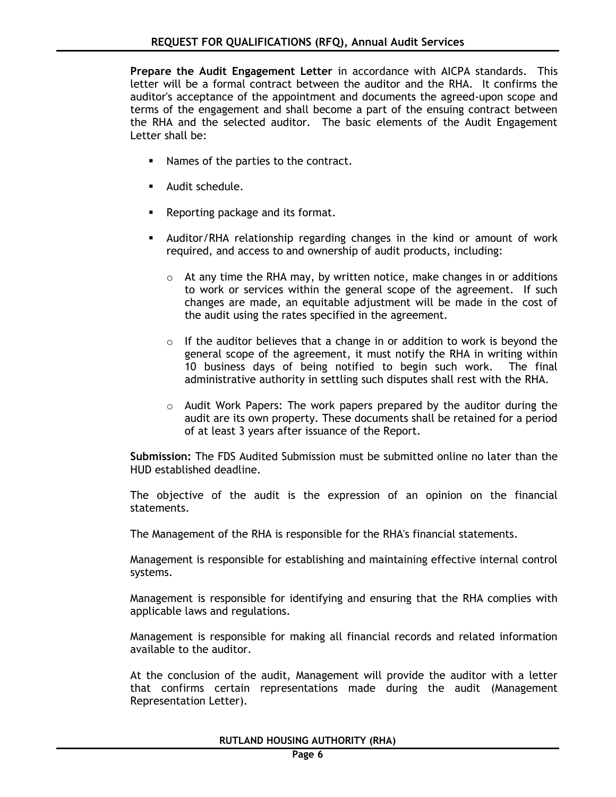**Prepare the Audit Engagement Letter** in accordance with AICPA standards. This letter will be a formal contract between the auditor and the RHA. It confirms the auditor's acceptance of the appointment and documents the agreed-upon scope and terms of the engagement and shall become a part of the ensuing contract between the RHA and the selected auditor. The basic elements of the Audit Engagement Letter shall be:

- Names of the parties to the contract.
- **Audit schedule.**
- **Reporting package and its format.**
- Auditor/RHA relationship regarding changes in the kind or amount of work required, and access to and ownership of audit products, including:
	- o At any time the RHA may, by written notice, make changes in or additions to work or services within the general scope of the agreement. If such changes are made, an equitable adjustment will be made in the cost of the audit using the rates specified in the agreement.
	- $\circ$  If the auditor believes that a change in or addition to work is beyond the general scope of the agreement, it must notify the RHA in writing within 10 business days of being notified to begin such work. The final administrative authority in settling such disputes shall rest with the RHA.
	- $\circ$  Audit Work Papers: The work papers prepared by the auditor during the audit are its own property. These documents shall be retained for a period of at least 3 years after issuance of the Report.

**Submission:** The FDS Audited Submission must be submitted online no later than the HUD established deadline.

The objective of the audit is the expression of an opinion on the financial statements.

The Management of the RHA is responsible for the RHA's financial statements.

Management is responsible for establishing and maintaining effective internal control systems.

Management is responsible for identifying and ensuring that the RHA complies with applicable laws and regulations.

Management is responsible for making all financial records and related information available to the auditor.

At the conclusion of the audit, Management will provide the auditor with a letter that confirms certain representations made during the audit (Management Representation Letter).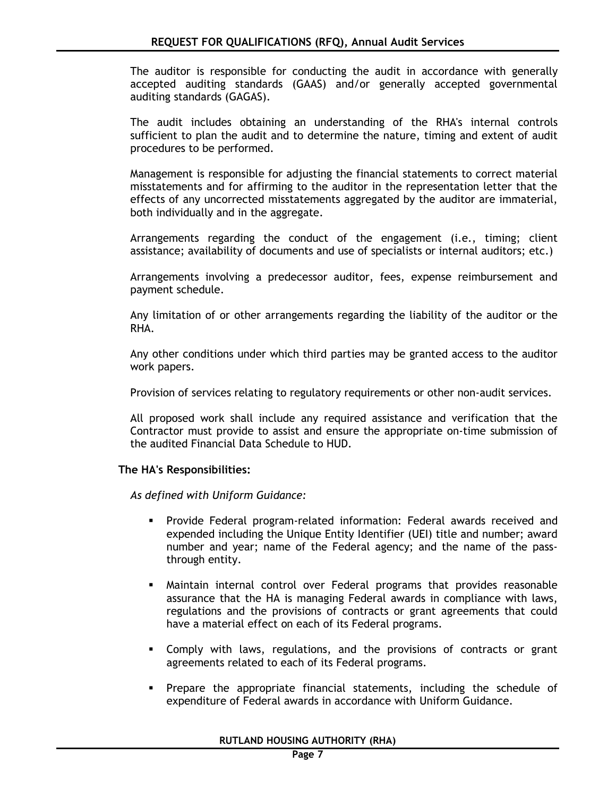The auditor is responsible for conducting the audit in accordance with generally accepted auditing standards (GAAS) and/or generally accepted governmental auditing standards (GAGAS).

The audit includes obtaining an understanding of the RHA's internal controls sufficient to plan the audit and to determine the nature, timing and extent of audit procedures to be performed.

Management is responsible for adjusting the financial statements to correct material misstatements and for affirming to the auditor in the representation letter that the effects of any uncorrected misstatements aggregated by the auditor are immaterial, both individually and in the aggregate.

Arrangements regarding the conduct of the engagement (i.e., timing; client assistance; availability of documents and use of specialists or internal auditors; etc.)

Arrangements involving a predecessor auditor, fees, expense reimbursement and payment schedule.

Any limitation of or other arrangements regarding the liability of the auditor or the RHA.

Any other conditions under which third parties may be granted access to the auditor work papers.

Provision of services relating to regulatory requirements or other non-audit services.

All proposed work shall include any required assistance and verification that the Contractor must provide to assist and ensure the appropriate on-time submission of the audited Financial Data Schedule to HUD.

#### **The HA's Responsibilities:**

*As defined with Uniform Guidance:*

- Provide Federal program-related information: Federal awards received and expended including the Unique Entity Identifier (UEI) title and number; award number and year; name of the Federal agency; and the name of the passthrough entity.
- Maintain internal control over Federal programs that provides reasonable assurance that the HA is managing Federal awards in compliance with laws, regulations and the provisions of contracts or grant agreements that could have a material effect on each of its Federal programs.
- Comply with laws, regulations, and the provisions of contracts or grant agreements related to each of its Federal programs.
- Prepare the appropriate financial statements, including the schedule of expenditure of Federal awards in accordance with Uniform Guidance.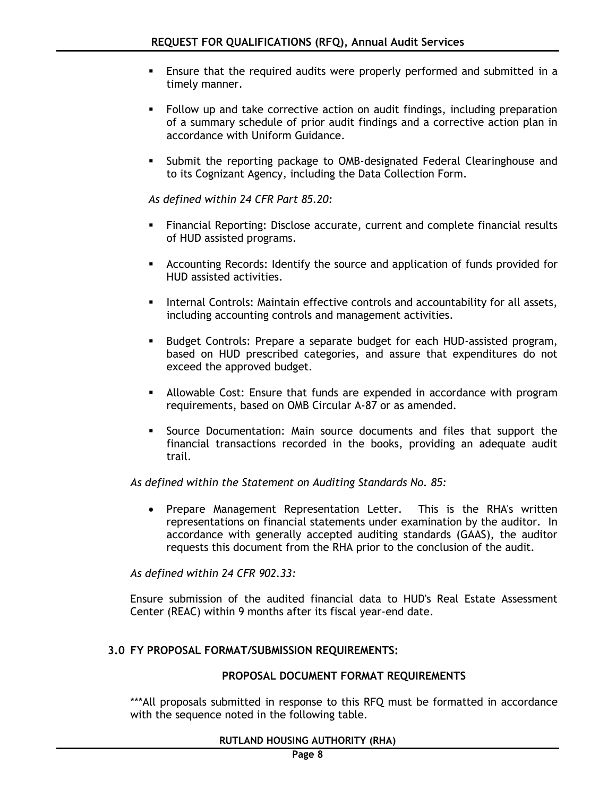- Ensure that the required audits were properly performed and submitted in a timely manner.
- Follow up and take corrective action on audit findings, including preparation of a summary schedule of prior audit findings and a corrective action plan in accordance with Uniform Guidance.
- Submit the reporting package to OMB-designated Federal Clearinghouse and to its Cognizant Agency, including the Data Collection Form.

*As defined within 24 CFR Part 85.20:*

- Financial Reporting: Disclose accurate, current and complete financial results of HUD assisted programs.
- Accounting Records: Identify the source and application of funds provided for HUD assisted activities.
- **Internal Controls: Maintain effective controls and accountability for all assets,** including accounting controls and management activities.
- **Budget Controls: Prepare a separate budget for each HUD-assisted program,** based on HUD prescribed categories, and assure that expenditures do not exceed the approved budget.
- Allowable Cost: Ensure that funds are expended in accordance with program requirements, based on OMB Circular A-87 or as amended.
- Source Documentation: Main source documents and files that support the financial transactions recorded in the books, providing an adequate audit trail.

*As defined within the Statement on Auditing Standards No. 85:*

• Prepare Management Representation Letter. This is the RHA's written representations on financial statements under examination by the auditor. In accordance with generally accepted auditing standards (GAAS), the auditor requests this document from the RHA prior to the conclusion of the audit.

*As defined within 24 CFR 902.33:*

Ensure submission of the audited financial data to HUD's Real Estate Assessment Center (REAC) within 9 months after its fiscal year-end date.

## **3.0 FY PROPOSAL FORMAT/SUBMISSION REQUIREMENTS:**

## **PROPOSAL DOCUMENT FORMAT REQUIREMENTS**

\*\*\*All proposals submitted in response to this RFQ must be formatted in accordance with the sequence noted in the following table.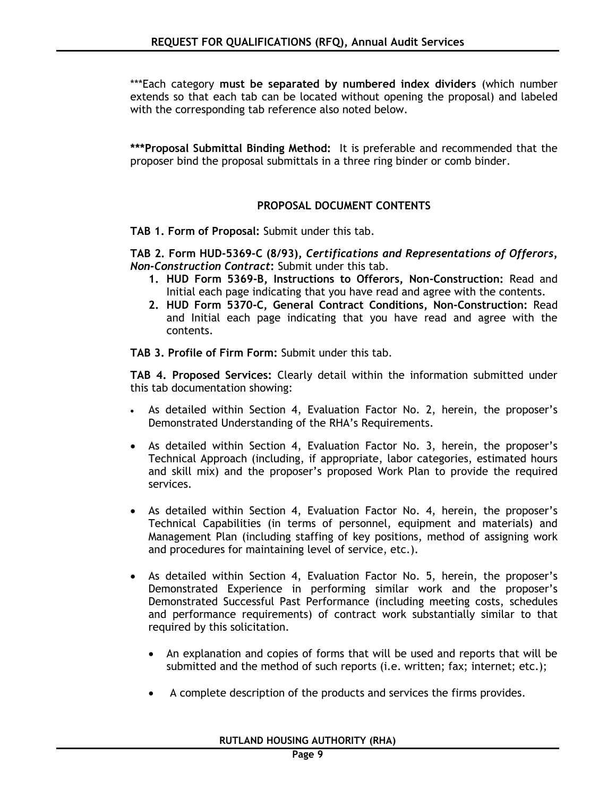\*\*\*Each category **must be separated by numbered index dividers** (which number extends so that each tab can be located without opening the proposal) and labeled with the corresponding tab reference also noted below.

**\*\*\*Proposal Submittal Binding Method:** It is preferable and recommended that the proposer bind the proposal submittals in a three ring binder or comb binder.

#### **PROPOSAL DOCUMENT CONTENTS**

**TAB 1. Form of Proposal:** Submit under this tab.

**TAB 2. Form HUD-5369-C (8/93),** *Certifications and Representations of Offerors, Non-Construction Contract***:** Submit under this tab.

- **1. HUD Form 5369-B, Instructions to Offerors, Non-Construction:** Read and Initial each page indicating that you have read and agree with the contents.
- **2. HUD Form 5370-C, General Contract Conditions, Non-Construction:** Read and Initial each page indicating that you have read and agree with the contents.

**TAB 3. Profile of Firm Form:** Submit under this tab.

**TAB 4. Proposed Services:** Clearly detail within the information submitted under this tab documentation showing:

- As detailed within Section 4, Evaluation Factor No. 2, herein, the proposer's Demonstrated Understanding of the RHA's Requirements.
- As detailed within Section 4, Evaluation Factor No. 3, herein, the proposer's Technical Approach (including, if appropriate, labor categories, estimated hours and skill mix) and the proposer's proposed Work Plan to provide the required services.
- As detailed within Section 4, Evaluation Factor No. 4, herein, the proposer's Technical Capabilities (in terms of personnel, equipment and materials) and Management Plan (including staffing of key positions, method of assigning work and procedures for maintaining level of service, etc.).
- As detailed within Section 4, Evaluation Factor No. 5, herein, the proposer's Demonstrated Experience in performing similar work and the proposer's Demonstrated Successful Past Performance (including meeting costs, schedules and performance requirements) of contract work substantially similar to that required by this solicitation.
	- An explanation and copies of forms that will be used and reports that will be submitted and the method of such reports (i.e. written; fax; internet; etc.);
	- A complete description of the products and services the firms provides.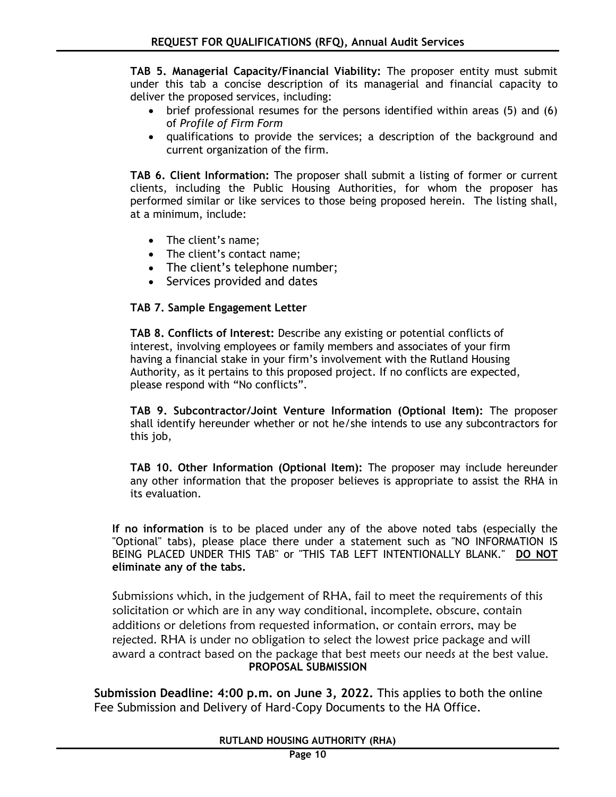**TAB 5. Managerial Capacity/Financial Viability:** The proposer entity must submit under this tab a concise description of its managerial and financial capacity to deliver the proposed services, including:

- brief professional resumes for the persons identified within areas (5) and (6) of *Profile of Firm Form*
- qualifications to provide the services; a description of the background and current organization of the firm.

**TAB 6. Client Information:** The proposer shall submit a listing of former or current clients, including the Public Housing Authorities, for whom the proposer has performed similar or like services to those being proposed herein. The listing shall, at a minimum, include:

- The client's name;
- The client's contact name;
- The client's telephone number;
- Services provided and dates

## **TAB 7. Sample Engagement Letter**

**TAB 8. Conflicts of Interest:** Describe any existing or potential conflicts of interest, involving employees or family members and associates of your firm having a financial stake in your firm's involvement with the Rutland Housing Authority, as it pertains to this proposed project. If no conflicts are expected, please respond with "No conflicts".

**TAB 9. Subcontractor/Joint Venture Information (Optional Item):** The proposer shall identify hereunder whether or not he/she intends to use any subcontractors for this job,

**TAB 10. Other Information (Optional Item):** The proposer may include hereunder any other information that the proposer believes is appropriate to assist the RHA in its evaluation.

**If no information** is to be placed under any of the above noted tabs (especially the "Optional" tabs), please place there under a statement such as "NO INFORMATION IS BEING PLACED UNDER THIS TAB" or "THIS TAB LEFT INTENTIONALLY BLANK." **DO NOT eliminate any of the tabs.**

Submissions which, in the judgement of RHA, fail to meet the requirements of this solicitation or which are in any way conditional, incomplete, obscure, contain additions or deletions from requested information, or contain errors, may be rejected. RHA is under no obligation to select the lowest price package and will award a contract based on the package that best meets our needs at the best value. **PROPOSAL SUBMISSION**

**Submission Deadline: 4:00 p.m. on June 3, 2022.** This applies to both the online Fee Submission and Delivery of Hard-Copy Documents to the HA Office.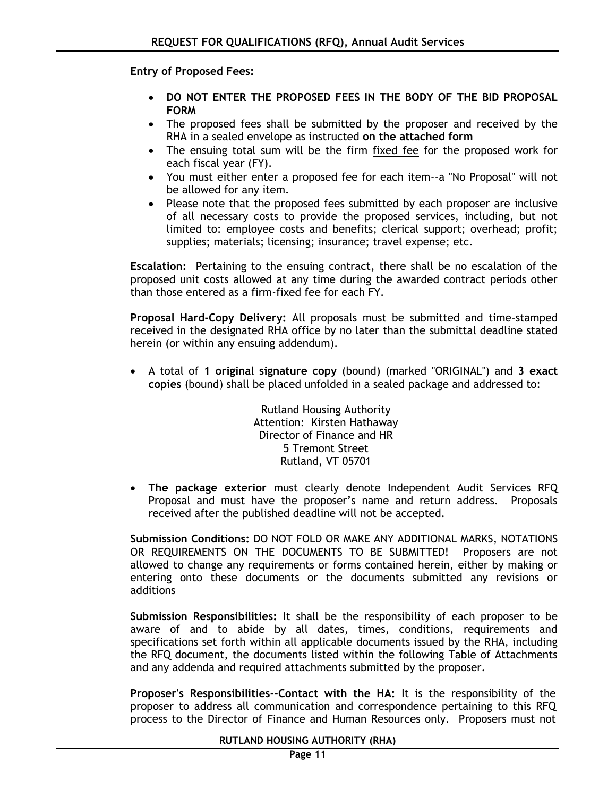**Entry of Proposed Fees:** 

- **DO NOT ENTER THE PROPOSED FEES IN THE BODY OF THE BID PROPOSAL FORM**
- The proposed fees shall be submitted by the proposer and received by the RHA in a sealed envelope as instructed **on the attached form**
- The ensuing total sum will be the firm fixed fee for the proposed work for each fiscal year (FY).
- You must either enter a proposed fee for each item--a "No Proposal" will not be allowed for any item.
- Please note that the proposed fees submitted by each proposer are inclusive of all necessary costs to provide the proposed services, including, but not limited to: employee costs and benefits; clerical support; overhead; profit; supplies; materials; licensing; insurance; travel expense; etc.

**Escalation:** Pertaining to the ensuing contract, there shall be no escalation of the proposed unit costs allowed at any time during the awarded contract periods other than those entered as a firm-fixed fee for each FY.

**Proposal Hard-Copy Delivery:** All proposals must be submitted and time-stamped received in the designated RHA office by no later than the submittal deadline stated herein (or within any ensuing addendum).

 A total of **1 original signature copy** (bound) (marked "ORIGINAL") and **3 exact copies** (bound) shall be placed unfolded in a sealed package and addressed to:

> Rutland Housing Authority Attention: Kirsten Hathaway Director of Finance and HR 5 Tremont Street Rutland, VT 05701

 **The package exterior** must clearly denote Independent Audit Services RFQ Proposal and must have the proposer's name and return address. Proposals received after the published deadline will not be accepted.

**Submission Conditions:** DO NOT FOLD OR MAKE ANY ADDITIONAL MARKS, NOTATIONS OR REQUIREMENTS ON THE DOCUMENTS TO BE SUBMITTED! Proposers are not allowed to change any requirements or forms contained herein, either by making or entering onto these documents or the documents submitted any revisions or additions

**Submission Responsibilities:** It shall be the responsibility of each proposer to be aware of and to abide by all dates, times, conditions, requirements and specifications set forth within all applicable documents issued by the RHA, including the RFQ document, the documents listed within the following Table of Attachments and any addenda and required attachments submitted by the proposer.

**Proposer's Responsibilities--Contact with the HA:** It is the responsibility of the proposer to address all communication and correspondence pertaining to this RFQ process to the Director of Finance and Human Resources only. Proposers must not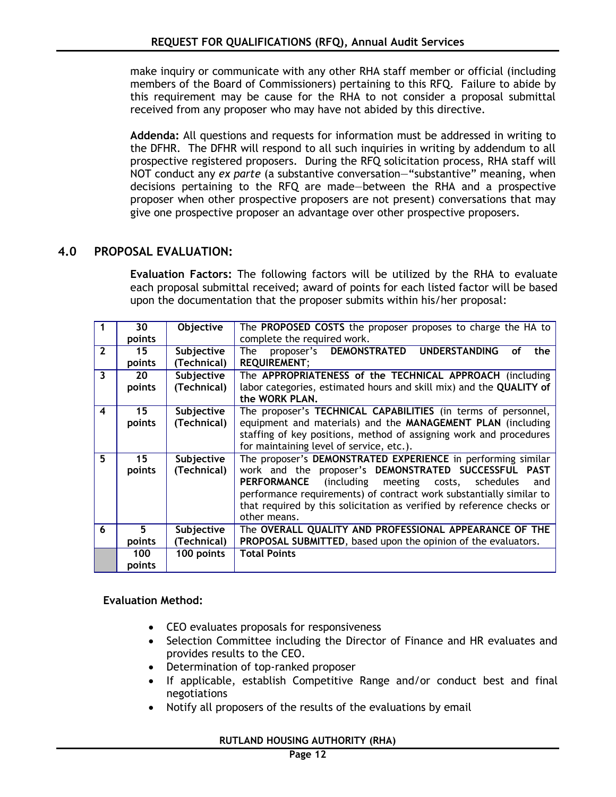make inquiry or communicate with any other RHA staff member or official (including members of the Board of Commissioners) pertaining to this RFQ. Failure to abide by this requirement may be cause for the RHA to not consider a proposal submittal received from any proposer who may have not abided by this directive.

**Addenda:** All questions and requests for information must be addressed in writing to the DFHR. The DFHR will respond to all such inquiries in writing by addendum to all prospective registered proposers. During the RFQ solicitation process, RHA staff will NOT conduct any *ex parte* (a substantive conversation—"substantive" meaning, when decisions pertaining to the RFQ are made—between the RHA and a prospective proposer when other prospective proposers are not present) conversations that may give one prospective proposer an advantage over other prospective proposers.

## **4.0 PROPOSAL EVALUATION:**

**Evaluation Factors:** The following factors will be utilized by the RHA to evaluate each proposal submittal received; award of points for each listed factor will be based upon the documentation that the proposer submits within his/her proposal:

|                         | 30              | Objective   | The <b>PROPOSED COSTS</b> the proposer proposes to charge the HA to    |
|-------------------------|-----------------|-------------|------------------------------------------------------------------------|
|                         | points          |             | complete the required work.                                            |
| $\overline{\mathbf{z}}$ | 15              | Subjective  | proposer's DEMONSTRATED UNDERSTANDING<br>The<br><b>of</b><br>the       |
|                         | points          | (Technical) | <b>REQUIREMENT;</b>                                                    |
| $\overline{\mathbf{3}}$ | 20              | Subjective  | The APPROPRIATENESS of the TECHNICAL APPROACH (including               |
|                         | points          | (Technical) | labor categories, estimated hours and skill mix) and the QUALITY of    |
|                         |                 |             | the WORK PLAN.                                                         |
| $\overline{\bf{4}}$     | 15 <sub>1</sub> | Subjective  | The proposer's TECHNICAL CAPABILITIES (in terms of personnel,          |
|                         | points          | (Technical) | equipment and materials) and the MANAGEMENT PLAN (including            |
|                         |                 |             | staffing of key positions, method of assigning work and procedures     |
|                         |                 |             | for maintaining level of service, etc.).                               |
| 5                       | 15              | Subjective  | The proposer's DEMONSTRATED EXPERIENCE in performing similar           |
|                         | points          | (Technical) | work and the proposer's DEMONSTRATED SUCCESSFUL PAST                   |
|                         |                 |             | including meeting)<br><b>PERFORMANCE</b><br>schedules<br>costs,<br>and |
|                         |                 |             | performance requirements) of contract work substantially similar to    |
|                         |                 |             | that required by this solicitation as verified by reference checks or  |
|                         |                 |             | other means.                                                           |
| 6                       | 5.              | Subjective  | The OVERALL QUALITY AND PROFESSIONAL APPEARANCE OF THE                 |
|                         | points          | (Technical) | PROPOSAL SUBMITTED, based upon the opinion of the evaluators.          |
|                         | 100             | 100 points  | <b>Total Points</b>                                                    |
|                         | points          |             |                                                                        |

## **Evaluation Method:**

- CEO evaluates proposals for responsiveness
- Selection Committee including the Director of Finance and HR evaluates and provides results to the CEO.
- Determination of top-ranked proposer
- If applicable, establish Competitive Range and/or conduct best and final negotiations
- Notify all proposers of the results of the evaluations by email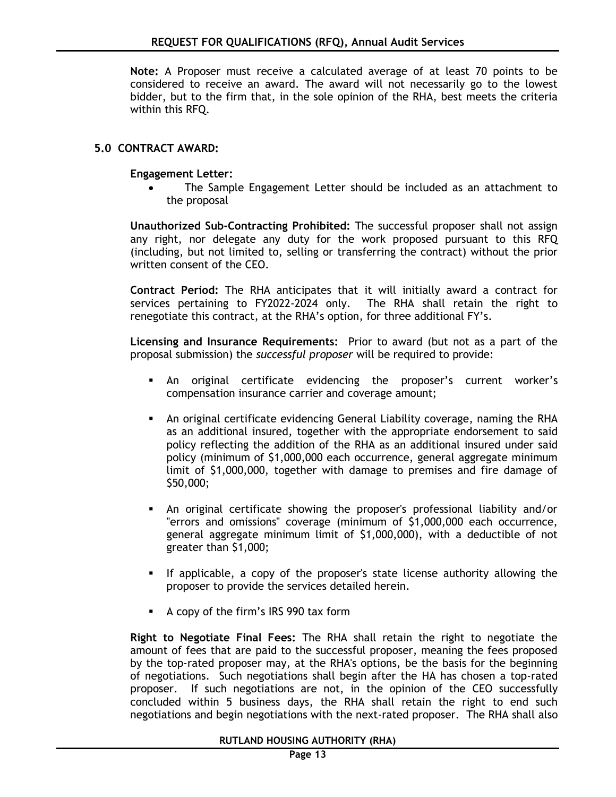**Note:** A Proposer must receive a calculated average of at least 70 points to be considered to receive an award. The award will not necessarily go to the lowest bidder, but to the firm that, in the sole opinion of the RHA, best meets the criteria within this RFQ.

#### **5.0 CONTRACT AWARD:**

**Engagement Letter:**

 The Sample Engagement Letter should be included as an attachment to the proposal

**Unauthorized Sub-Contracting Prohibited:** The successful proposer shall not assign any right, nor delegate any duty for the work proposed pursuant to this RFQ (including, but not limited to, selling or transferring the contract) without the prior written consent of the CEO.

**Contract Period:** The RHA anticipates that it will initially award a contract for services pertaining to FY2022-2024 only. The RHA shall retain the right to renegotiate this contract, at the RHA's option, for three additional FY's.

**Licensing and Insurance Requirements:** Prior to award (but not as a part of the proposal submission) the *successful proposer* will be required to provide:

- An original certificate evidencing the proposer's current worker's compensation insurance carrier and coverage amount;
- An original certificate evidencing General Liability coverage, naming the RHA as an additional insured, together with the appropriate endorsement to said policy reflecting the addition of the RHA as an additional insured under said policy (minimum of \$1,000,000 each occurrence, general aggregate minimum limit of \$1,000,000, together with damage to premises and fire damage of \$50,000;
- An original certificate showing the proposer's professional liability and/or "errors and omissions" coverage (minimum of \$1,000,000 each occurrence, general aggregate minimum limit of \$1,000,000), with a deductible of not greater than \$1,000;
- If applicable, a copy of the proposer's state license authority allowing the proposer to provide the services detailed herein.
- A copy of the firm's IRS 990 tax form

**Right to Negotiate Final Fees:** The RHA shall retain the right to negotiate the amount of fees that are paid to the successful proposer, meaning the fees proposed by the top-rated proposer may, at the RHA's options, be the basis for the beginning of negotiations. Such negotiations shall begin after the HA has chosen a top-rated proposer. If such negotiations are not, in the opinion of the CEO successfully concluded within 5 business days, the RHA shall retain the right to end such negotiations and begin negotiations with the next-rated proposer. The RHA shall also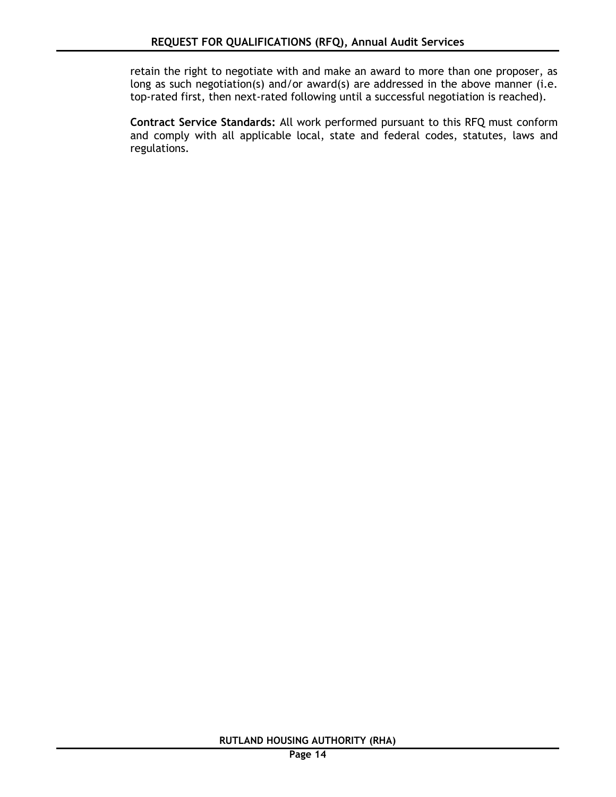retain the right to negotiate with and make an award to more than one proposer, as long as such negotiation(s) and/or award(s) are addressed in the above manner (i.e. top-rated first, then next-rated following until a successful negotiation is reached).

**Contract Service Standards:** All work performed pursuant to this RFQ must conform and comply with all applicable local, state and federal codes, statutes, laws and regulations.